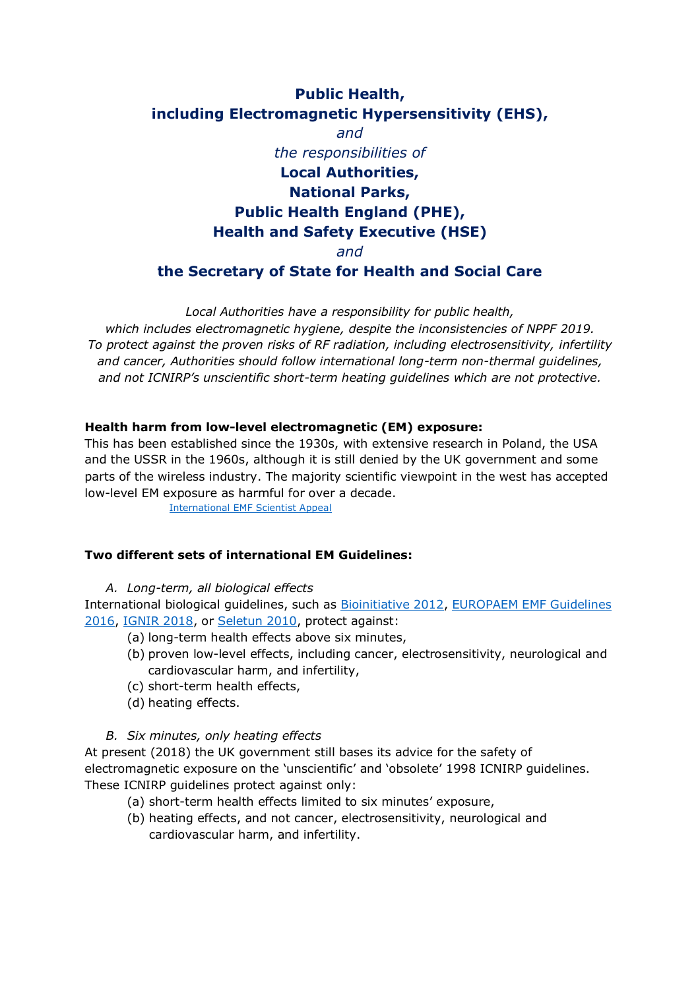# **Public Health, including Electromagnetic Hypersensitivity (EHS),** *and the responsibilities of* **Local Authorities, National Parks, Public Health England (PHE), Health and Safety Executive (HSE)** *and* **the Secretary of State for Health and Social Care**

*Local Authorities have a responsibility for public health, which includes electromagnetic hygiene, despite the inconsistencies of NPPF 2019. To protect against the proven risks of RF radiation, including electrosensitivity, infertility and cancer, Authorities should follow international long-term non-thermal guidelines, and not ICNIRP's unscientific short-term heating guidelines which are not protective.*

# **Health harm from low-level electromagnetic (EM) exposure:**

This has been established since the 1930s, with extensive research in Poland, the USA and the USSR in the 1960s, although it is still denied by the UK government and some parts of the wireless industry. The majority scientific viewpoint in the west has accepted low-level EM exposure as harmful for over a decade.

[International EMF Scientist Appeal](https://www.emfscientist.org/)

# **Two different sets of international EM Guidelines:**

#### *A. Long-term, all biological effects*

International biological guidelines, such as [Bioinitiative 2012,](http://www.bioinitiative.org/) [EUROPAEM EMF Guidelines](https://www.degruyter.com/table/j/reveh.2016.31.issue-3/reveh-2016-0011/reveh-2016-0011.xml?id=j_reveh-2016-0011_tab_003)  [2016,](https://www.degruyter.com/table/j/reveh.2016.31.issue-3/reveh-2016-0011/reveh-2016-0011.xml?id=j_reveh-2016-0011_tab_003) [IGNIR](https://www.ignir.org/Guidelines) 2018, or [Seletun 2010,](http://electromagnetichealth.org/wp-content/uploads/2010/12/The-Seletun-Scientific-Statement1.pdf) protect against:

- (a) long-term health effects above six minutes,
- (b) proven low-level effects, including cancer, electrosensitivity, neurological and cardiovascular harm, and infertility,
- (c) short-term health effects,
- (d) heating effects.

# *B. Six minutes, only heating effects*

At present (2018) the UK government still bases its advice for the safety of electromagnetic exposure on the 'unscientific' and 'obsolete' 1998 ICNIRP guidelines. These ICNIRP guidelines protect against only:

- (a) short-term health effects limited to six minutes' exposure,
- (b) heating effects, and not cancer, electrosensitivity, neurological and cardiovascular harm, and infertility.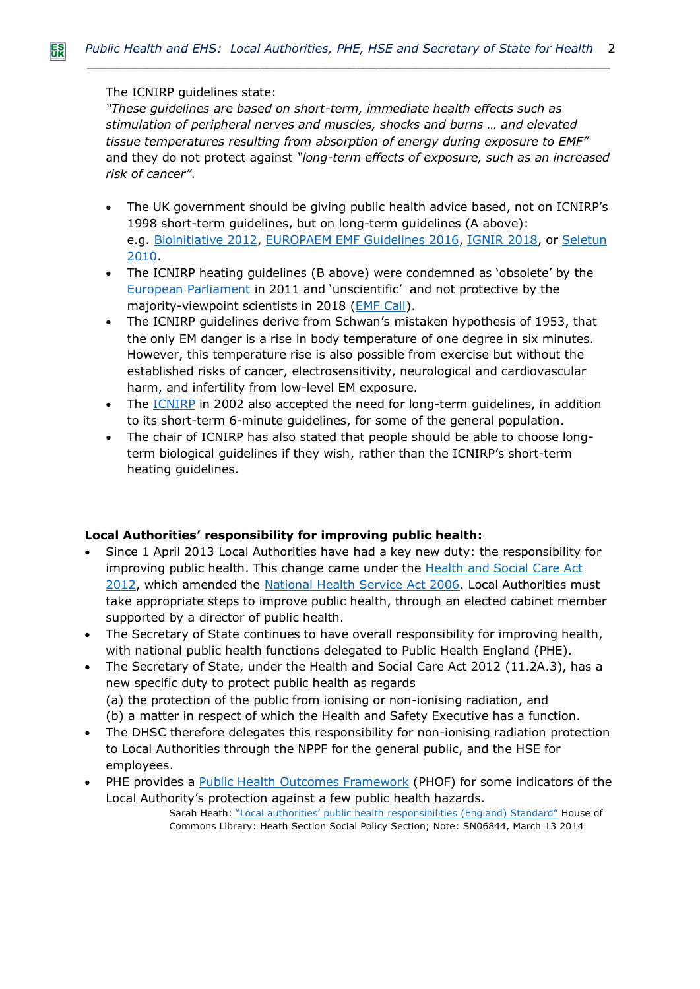# The ICNIRP guidelines state:

*"These guidelines are based on short-term, immediate health effects such as stimulation of peripheral nerves and muscles, shocks and burns … and elevated tissue temperatures resulting from absorption of energy during exposure to EMF"* and they do not protect against *"long-term effects of exposure, such as an increased risk of cancer"*.

- The UK government should be giving public health advice based, not on ICNIRP's 1998 short-term guidelines, but on long-term guidelines (A above): e.g. [Bioinitiative 2012,](http://www.bioinitiative.org/) [EUROPAEM EMF Guidelines 2016,](https://www.degruyter.com/table/j/reveh.2016.31.issue-3/reveh-2016-0011/reveh-2016-0011.xml?id=j_reveh-2016-0011_tab_003) [IGNIR](https://www.ignir.org/Guidelines) 2018, or [Seletun](http://electromagnetichealth.org/wp-content/uploads/2010/12/The-Seletun-Scientific-Statement1.pdf)  [2010.](http://electromagnetichealth.org/wp-content/uploads/2010/12/The-Seletun-Scientific-Statement1.pdf)
- The ICNIRP heating guidelines (B above) were condemned as 'obsolete' by the [European Parliament](http://www.europarl.europa.eu/sides/getDoc.do?type=TA&language=EN&reference=P6-TA-2009-216) in 2011 and 'unscientific' and not protective by the majority-viewpoint scientists in 2018 [\(EMF Call\)](https://www.emfcall.org/).
- The ICNIRP guidelines derive from Schwan's mistaken hypothesis of 1953, that the only EM danger is a rise in body temperature of one degree in six minutes. However, this temperature rise is also possible from exercise but without the established risks of cancer, electrosensitivity, neurological and cardiovascular harm, and infertility from low-level EM exposure.
- The **ICNIRP** in 2002 also accepted the need for long-term guidelines, in addition to its short-term 6-minute guidelines, for some of the general population.
- The chair of ICNIRP has also stated that people should be able to choose longterm biological guidelines if they wish, rather than the ICNIRP's short-term heating guidelines.

# **Local Authorities' responsibility for improving public health:**

- Since 1 April 2013 Local Authorities have had a key new duty: the responsibility for improving public health. This change came under the [Health and Social Care Act](http://www.legislation.gov.uk/ukpga/2012/7/pdfs/ukpga_20120007_en.pdf)  [2012,](http://www.legislation.gov.uk/ukpga/2012/7/pdfs/ukpga_20120007_en.pdf) which amended the [National Health Service Act 2006.](http://www.legislation.gov.uk/ukpga/2006/41/pdfs/ukpga_20060041_en.pdf) Local Authorities must take appropriate steps to improve public health, through an elected cabinet member supported by a director of public health.
- The Secretary of State continues to have overall responsibility for improving health, with national public health functions delegated to Public Health England (PHE).
- The Secretary of State, under the Health and Social Care Act 2012 (11.2A.3), has a new specific duty to protect public health as regards (a) the protection of the public from ionising or non-ionising radiation, and (b) a matter in respect of which the Health and Safety Executive has a function.
- The DHSC therefore delegates this responsibility for non-ionising radiation protection to Local Authorities through the NPPF for the general public, and the HSE for employees.
- PHE provides a [Public Health Outcomes Framework](https://fingertips.phe.org.uk/profile/public-health-outcomes-framework) (PHOF) for some indicators of the Local Authority's protection against a few public health hazards. Sarah Heath: "Local authorities' public health [responsibilities \(England\) Standard"](http://researchbriefings.files.parliament.uk/documents/SN06844/SN06844.pdf) House of Commons Library: Heath Section Social Policy Section; Note: SN06844, March 13 2014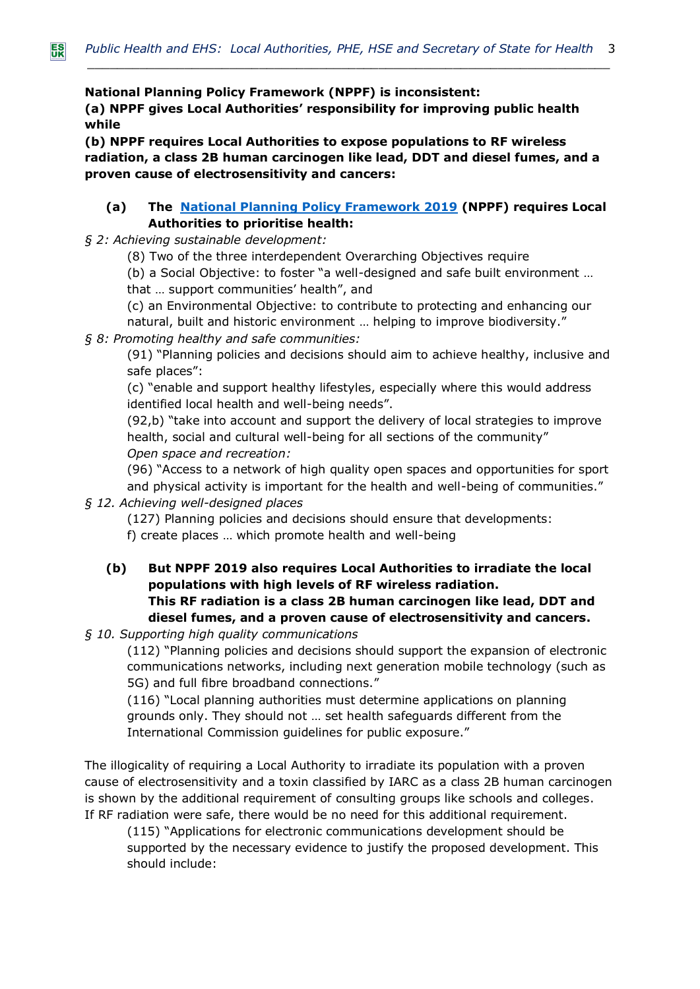**National Planning Policy Framework (NPPF) is inconsistent:**

**(a) NPPF gives Local Authorities' responsibility for improving public health while** 

**(b) NPPF requires Local Authorities to expose populations to RF wireless radiation, a class 2B human carcinogen like lead, DDT and diesel fumes, and a proven cause of electrosensitivity and cancers:**

# **(a) The [National Planning Policy Framework 2019](https://assets.publishing.service.gov.uk/government/uploads/system/uploads/attachment_data/file/810197/NPPF_Feb_2019_revised.pdf) (NPPF) requires Local Authorities to prioritise health:**

*§ 2: Achieving sustainable development:*

(8) Two of the three interdependent Overarching Objectives require

(b) a Social Objective: to foster "a well-designed and safe built environment … that … support communities' health", and

(c) an Environmental Objective: to contribute to protecting and enhancing our natural, built and historic environment … helping to improve biodiversity."

# *§ 8: Promoting healthy and safe communities:*

(91) "Planning policies and decisions should aim to achieve healthy, inclusive and safe places":

(c) "enable and support healthy lifestyles, especially where this would address identified local health and well-being needs".

(92,b) "take into account and support the delivery of local strategies to improve health, social and cultural well-being for all sections of the community" *Open space and recreation:*

(96) "Access to a network of high quality open spaces and opportunities for sport and physical activity is important for the health and well-being of communities."

# *§ 12. Achieving well-designed places*

(127) Planning policies and decisions should ensure that developments:

f) create places … which promote health and well-being

**(b) But NPPF 2019 also requires Local Authorities to irradiate the local populations with high levels of RF wireless radiation. This RF radiation is a class 2B human carcinogen like lead, DDT and diesel fumes, and a proven cause of electrosensitivity and cancers.**

# *§ 10. Supporting high quality communications*

(112) "Planning policies and decisions should support the expansion of electronic communications networks, including next generation mobile technology (such as 5G) and full fibre broadband connections."

(116) "Local planning authorities must determine applications on planning grounds only. They should not … set health safeguards different from the International Commission guidelines for public exposure."

The illogicality of requiring a Local Authority to irradiate its population with a proven cause of electrosensitivity and a toxin classified by IARC as a class 2B human carcinogen is shown by the additional requirement of consulting groups like schools and colleges. If RF radiation were safe, there would be no need for this additional requirement.

(115) "Applications for electronic communications development should be supported by the necessary evidence to justify the proposed development. This should include: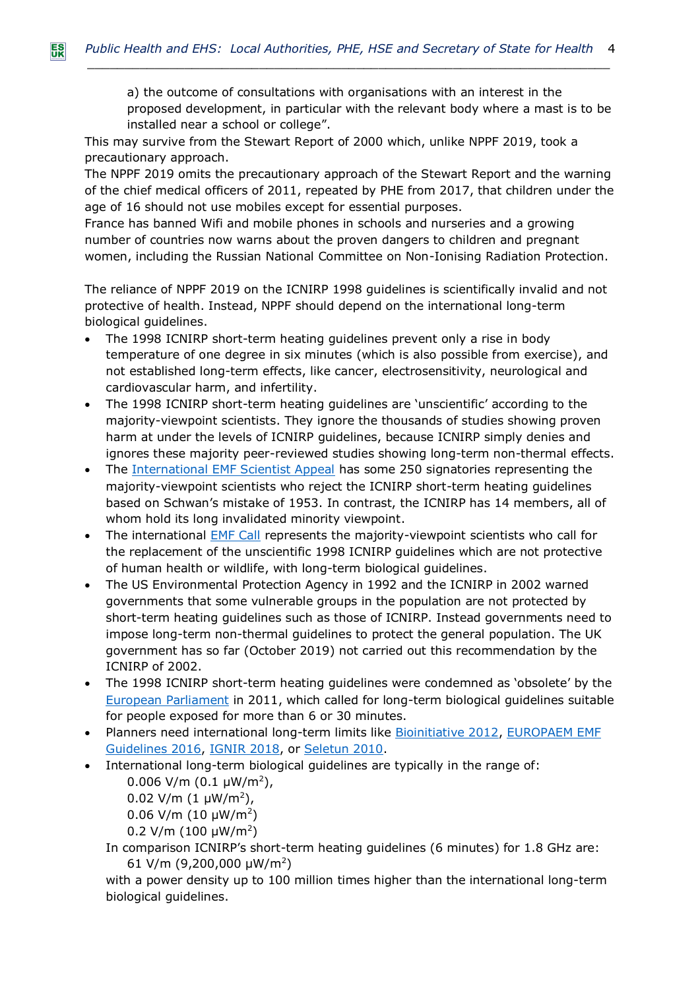a) the outcome of consultations with organisations with an interest in the proposed development, in particular with the relevant body where a mast is to be installed near a school or college".

This may survive from the Stewart Report of 2000 which, unlike NPPF 2019, took a precautionary approach.

The NPPF 2019 omits the precautionary approach of the Stewart Report and the warning of the chief medical officers of 2011, repeated by PHE from 2017, that children under the age of 16 should not use mobiles except for essential purposes.

France has banned Wifi and mobile phones in schools and nurseries and a growing number of countries now warns about the proven dangers to children and pregnant women, including the Russian National Committee on Non-Ionising Radiation Protection.

The reliance of NPPF 2019 on the ICNIRP 1998 guidelines is scientifically invalid and not protective of health. Instead, NPPF should depend on the international long-term biological guidelines.

- The 1998 ICNIRP short-term heating guidelines prevent only a rise in body temperature of one degree in six minutes (which is also possible from exercise), and not established long-term effects, like cancer, electrosensitivity, neurological and cardiovascular harm, and infertility.
- The 1998 ICNIRP short-term heating guidelines are 'unscientific' according to the majority-viewpoint scientists. They ignore the thousands of studies showing proven harm at under the levels of ICNIRP guidelines, because ICNIRP simply denies and ignores these majority peer-reviewed studies showing long-term non-thermal effects.
- The [International EMF Scientist Appeal](https://www.emfscientist.org/) has some 250 signatories representing the majority-viewpoint scientists who reject the ICNIRP short-term heating guidelines based on Schwan's mistake of 1953. In contrast, the ICNIRP has 14 members, all of whom hold its long invalidated minority viewpoint.
- The international [EMF Call](https://www.emfcall.org/) represents the majority-viewpoint scientists who call for the replacement of the unscientific 1998 ICNIRP guidelines which are not protective of human health or wildlife, with long-term biological guidelines.
- The US Environmental Protection Agency in 1992 and the ICNIRP in 2002 warned governments that some vulnerable groups in the population are not protected by short-term heating guidelines such as those of ICNIRP. Instead governments need to impose long-term non-thermal guidelines to protect the general population. The UK government has so far (October 2019) not carried out this recommendation by the ICNIRP of 2002.
- The 1998 ICNIRP short-term heating guidelines were condemned as 'obsolete' by the [European Parliament](http://www.europarl.europa.eu/sides/getDoc.do?type=TA&language=EN&reference=P6-TA-2009-216) in 2011, which called for long-term biological guidelines suitable for people exposed for more than 6 or 30 minutes.
- Planners need international long-term limits like **[Bioinitiative 2012,](http://www.bioinitiative.org/) EUROPAEM EMF** [Guidelines 2016,](https://www.degruyter.com/table/j/reveh.2016.31.issue-3/reveh-2016-0011/reveh-2016-0011.xml?id=j_reveh-2016-0011_tab_003) [IGNIR](https://www.ignir.org/Guidelines) 2018, or [Seletun 2010.](http://electromagnetichealth.org/wp-content/uploads/2010/12/The-Seletun-Scientific-Statement1.pdf)
- International long-term biological guidelines are typically in the range of:

 $0.006$  V/m  $(0.1 \mu W/m^2)$ ,

0.02 V/m  $(1 \mu W/m^2)$ ,

 $0.06$  V/m (10  $\mu$ W/m<sup>2</sup>)

0.2 V/m (100  $\mu$ W/m<sup>2</sup>)

In comparison ICNIRP's short-term heating guidelines (6 minutes) for 1.8 GHz are: 61 V/m (9,200,000  $\mu$ W/m<sup>2</sup>)

with a power density up to 100 million times higher than the international long-term biological guidelines.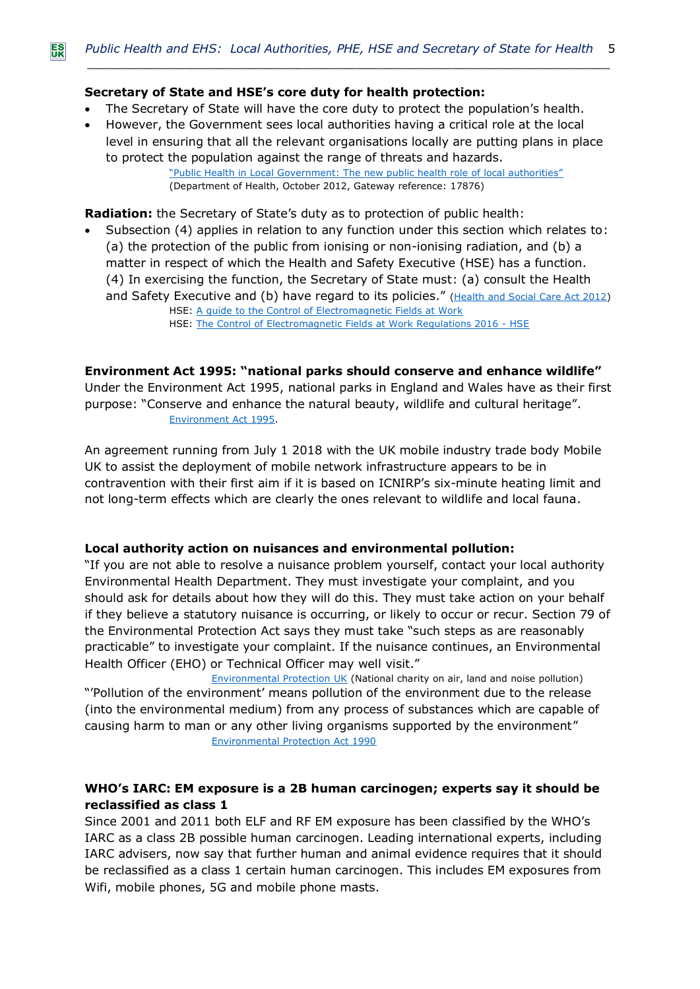# **Secretary of State and HSE's core duty for health protection:**

- The Secretary of State will have the core duty to protect the population's health.
- However, the Government sees local authorities having a critical role at the local level in ensuring that all the relevant organisations locally are putting plans in place to protect the population against the range of threats and hazards. ["Public Health in Local Government: The new public health role of local authorities"](https://assets.publishing.service.gov.uk/government/uploads/system/uploads/attachment_data/file/213009/Public-health-role-of-local-authorities-factsheet.pdf) (Department of Health, October 2012, Gateway reference: 17876)

**Radiation:** the Secretary of State's duty as to protection of public health:

• Subsection (4) applies in relation to any function under this section which relates to: (a) the protection of the public from ionising or non-ionising radiation, and (b) a matter in respect of which the Health and Safety Executive (HSE) has a function. (4) In exercising the function, the Secretary of State must: (a) consult the Health and Safety Executive and (b) have regard to its policies." [\(Health and Social Care Act 2012\)](http://www.legislation.gov.uk/ukpga/2012/7/pdfs/ukpga_20120007_en.pdf) HSE: [A guide to the Control of Electromagnetic Fields at Work](http://www.hse.gov.uk/pubns/books/hsg281.htm) HSE: [The Control of Electromagnetic Fields at Work Regulations 2016 -](http://www.hse.gov.uk/radiation/nonionising/emf-regulations.htm) HSE

**Environment Act 1995: "national parks should conserve and enhance wildlife"**

Under the Environment Act 1995, national parks in England and Wales have as their first purpose: "Conserve and enhance the natural beauty, wildlife and cultural heritage". [Environment Act 1995.](https://www.legislation.gov.uk/ukpga/1995/25/section/61)

An agreement running from July 1 2018 with the UK mobile industry trade body Mobile UK to assist the deployment of mobile network infrastructure appears to be in contravention with their first aim if it is based on ICNIRP's six-minute heating limit and not long-term effects which are clearly the ones relevant to wildlife and local fauna.

# **Local authority action on nuisances and environmental pollution:**

"If you are not able to resolve a nuisance problem yourself, contact your local authority Environmental Health Department. They must investigate your complaint, and you should ask for details about how they will do this. They must take action on your behalf if they believe a statutory nuisance is occurring, or likely to occur or recur. Section 79 of the Environmental Protection Act says they must take "such steps as are reasonably practicable" to investigate your complaint. If the nuisance continues, an Environmental Health Officer (EHO) or Technical Officer may well visit."

[Environmental Protection UK](http://www.environmental-protection.org.uk/) (National charity on air, land and noise pollution) "'Pollution of the environment' means pollution of the environment due to the release (into the environmental medium) from any process of substances which are capable of causing harm to man or any other living organisms supported by the environment" [Environmental Protection Act 1990](file:///H:/environmental%20effects,%20buildings,%20wildlife/ukpga_19900043_Environ%20Prot%20Act%201990.pdf)

# **WHO's IARC: EM exposure is a 2B human carcinogen; experts say it should be reclassified as class 1**

Since 2001 and 2011 both ELF and RF EM exposure has been classified by the WHO's IARC as a class 2B possible human carcinogen. Leading international experts, including IARC advisers, now say that further human and animal evidence requires that it should be reclassified as a class 1 certain human carcinogen. This includes EM exposures from Wifi, mobile phones, 5G and mobile phone masts.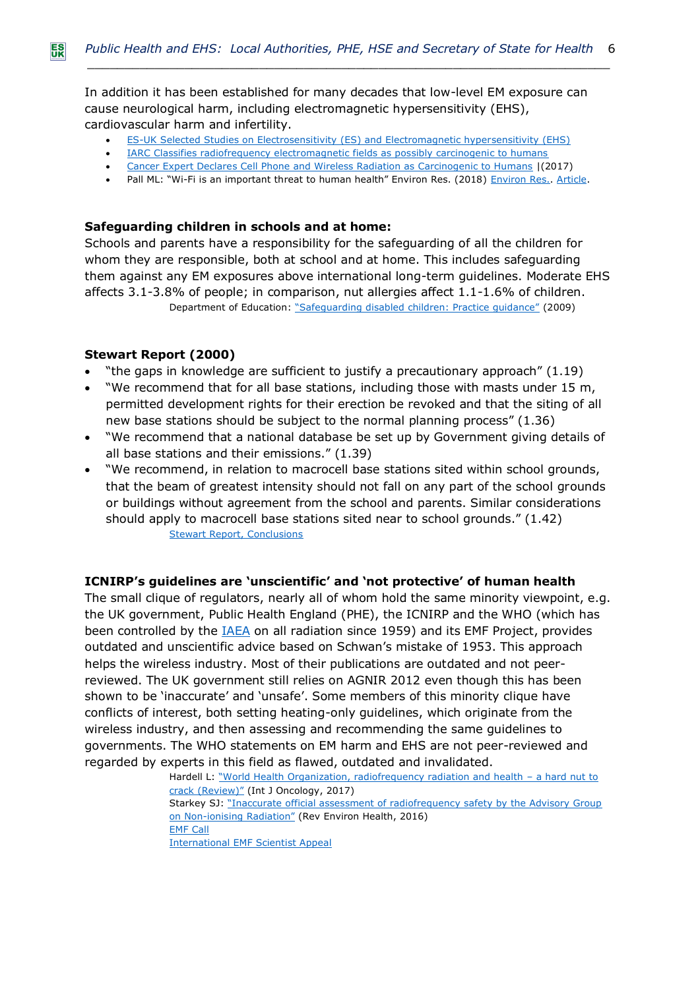In addition it has been established for many decades that low-level EM exposure can cause neurological harm, including electromagnetic hypersensitivity (EHS), cardiovascular harm and infertility.

- [ES-UK Selected Studies on Electrosensitivity \(ES\) and Electromagnetic hypersensitivity \(EHS\)](http://www.es-uk.info/wp-content/uploads/2018/11/02.3-Selected-ES-and-EHS-Studies-2018.pdf)
- [IARC Classifies radiofrequency electromagnetic fields as possibly carcinogenic to humans](http://www.iarc.fr/en/media-centre/pr/2011/pdfs/pr208_E.pdf)
- [Cancer Expert Declares Cell Phone and Wireless Radiation as Carcinogenic to Humans](http://www.sbwire.com/press-releases/cancer-expert-declares-cell-phone-and-wireless-radiation-as-carcinogenic-to-humans-849135.htm) (2017)
- Pall ML: "Wi-Fi is an important threat to human health" Environ Res. (2018) Environ Res. [Article.](https://www.sciencedirect.com/sdfe/pdf/download/file/pii/S0013935118300355/1-s2.0-S0013935118300355-main.pdf)

# **Safeguarding children in schools and at home:**

Schools and parents have a responsibility for the safeguarding of all the children for whom they are responsible, both at school and at home. This includes safeguarding them against any EM exposures above international long-term guidelines. Moderate EHS affects 3.1-3.8% of people; in comparison, nut allergies affect 1.1-1.6% of children. Department of Education: ["Safeguarding disabled children: Practice guidance"](https://assets.publishing.service.gov.uk/government/uploads/system/uploads/attachment_data/file/190544/00374-2009DOM-EN.pdf) (2009)

#### **Stewart Report (2000)**

- "the gaps in knowledge are sufficient to justify a precautionary approach" (1.19)
- "We recommend that for all base stations, including those with masts under 15 m, permitted development rights for their erection be revoked and that the siting of all new base stations should be subject to the normal planning process" (1.36)
- "We recommend that a national database be set up by Government giving details of all base stations and their emissions." (1.39)
- "We recommend, in relation to macrocell base stations sited within school grounds, that the beam of greatest intensity should not fall on any part of the school grounds or buildings without agreement from the school and parents. Similar considerations should apply to macrocell base stations sited near to school grounds." (1.42) [Stewart Report, Conclusions](http://webarchive.nationalarchives.gov.uk/20100910163010/http:/www.iegmp.org.uk/documents/iegmp_1.pdf)

# **ICNIRP's guidelines are 'unscientific' and 'not protective' of human health**

The small clique of regulators, nearly all of whom hold the same minority viewpoint, e.g. the UK government, Public Health England (PHE), the ICNIRP and the WHO (which has been controlled by the  $IAEA$  on all radiation since 1959) and its EMF Project, provides outdated and unscientific advice based on Schwan's mistake of 1953. This approach helps the wireless industry. Most of their publications are outdated and not peerreviewed. The UK government still relies on AGNIR 2012 even though this has been shown to be 'inaccurate' and 'unsafe'. Some members of this minority clique have conflicts of interest, both setting heating-only guidelines, which originate from the wireless industry, and then assessing and recommending the same guidelines to governments. The WHO statements on EM harm and EHS are not peer-reviewed and regarded by experts in this field as flawed, outdated and invalidated.

> Hardell L: "World Health Organization, radiofrequency radiation and health - a hard nut to [crack \(Review\)"](https://www.ncbi.nlm.nih.gov/pubmed/28656257) (Int J Oncology, 2017) Starkey SJ: "Inaccurate official assessment of radiofrequency safety by the Advisory Group on Non-[ionising Radiation"](https://www.ncbi.nlm.nih.gov/pubmed/27902455) (Rev Environ Health, 2016) [EMF Call](https://www.emfcall.org/) [International EMF Scientist Appeal](https://www.emfscientist.org/)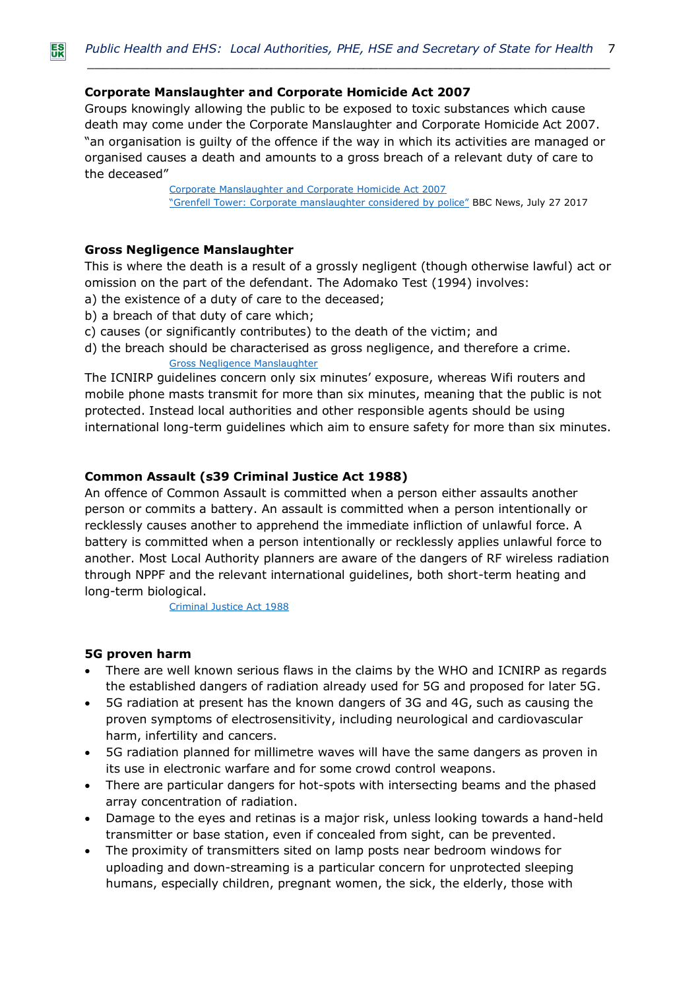# **Corporate Manslaughter and Corporate Homicide Act 2007**

Groups knowingly allowing the public to be exposed to toxic substances which cause death may come under the Corporate Manslaughter and Corporate Homicide Act 2007. "an organisation is guilty of the offence if the way in which its activities are managed or organised causes a death and amounts to a gross breach of a relevant duty of care to the deceased"

> [Corporate Manslaughter and Corporate Homicide Act 2007](https://www.justice.gov.uk/downloads/legislation/bills-acts/circulars/moj/corporate-manslaughter-act-2007-circular-9-feb-08.pdf) ["Grenfell Tower: Corporate manslaughter considered by police"](https://www.bbc.co.uk/news/uk-40747241) BBC News, July 27 2017

# **Gross Negligence Manslaughter**

This is where the death is a result of a grossly negligent (though otherwise lawful) act or omission on the part of the defendant. The Adomako Test (1994) involves:

- a) the existence of a duty of care to the deceased;
- b) a breach of that duty of care which;
- c) causes (or significantly contributes) to the death of the victim; and
- d) the breach should be characterised as gross negligence, and therefore a crime. [Gross Negligence Manslaughter](https://www.cps.gov.uk/legal-guidance/homicide-murder-and-manslaughter)

The ICNIRP guidelines concern only six minutes' exposure, whereas Wifi routers and mobile phone masts transmit for more than six minutes, meaning that the public is not protected. Instead local authorities and other responsible agents should be using international long-term guidelines which aim to ensure safety for more than six minutes.

# **Common Assault (s39 Criminal Justice Act 1988)**

An offence of Common Assault is committed when a person either assaults another person or commits a battery. An assault is committed when a person intentionally or recklessly causes another to apprehend the immediate infliction of unlawful force. A battery is committed when a person intentionally or recklessly applies unlawful force to another. Most Local Authority planners are aware of the dangers of RF wireless radiation through NPPF and the relevant international guidelines, both short-term heating and long-term biological.

[Criminal Justice Act 1988](https://www.legislation.gov.uk/ukpga/1988/33/section/39)

# **5G proven harm**

- There are well known serious flaws in the claims by the WHO and ICNIRP as regards the established dangers of radiation already used for 5G and proposed for later 5G.
- 5G radiation at present has the known dangers of 3G and 4G, such as causing the proven symptoms of electrosensitivity, including neurological and cardiovascular harm, infertility and cancers.
- 5G radiation planned for millimetre waves will have the same dangers as proven in its use in electronic warfare and for some crowd control weapons.
- There are particular dangers for hot-spots with intersecting beams and the phased array concentration of radiation.
- Damage to the eyes and retinas is a major risk, unless looking towards a hand-held transmitter or base station, even if concealed from sight, can be prevented.
- The proximity of transmitters sited on lamp posts near bedroom windows for uploading and down-streaming is a particular concern for unprotected sleeping humans, especially children, pregnant women, the sick, the elderly, those with